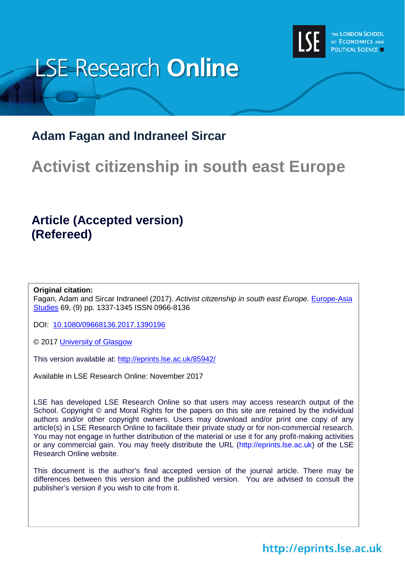

# **LSE Research Online**

# **Adam Fagan and Indraneel Sircar**

# **Activist citizenship in south east Europe**

# **Article (Accepted version) (Refereed)**

#### **Original citation:**

Fagan, Adam and Sircar Indraneel (2017). *Activist citizenship in south east Europe.* [Europe-Asia](http://www.tandfonline.com/toc/ceas20/current)  [Studies](http://www.tandfonline.com/toc/ceas20/current) 69, (9) pp. 1337-1345 ISSN 0966-8136

DOI: [10.1080/09668136.2017.1390196](http://dx.doi.org/10.1080/09668136.2017.1390196)

© 2017 [University of Glasgow](https://www.gla.ac.uk/)

This version available at:<http://eprints.lse.ac.uk/85942/>

Available in LSE Research Online: November 2017

LSE has developed LSE Research Online so that users may access research output of the School. Copyright © and Moral Rights for the papers on this site are retained by the individual authors and/or other copyright owners. Users may download and/or print one copy of any article(s) in LSE Research Online to facilitate their private study or for non-commercial research. You may not engage in further distribution of the material or use it for any profit-making activities or any commercial gain. You may freely distribute the URL (http://eprints.lse.ac.uk) of the LSE Research Online website.

This document is the author's final accepted version of the journal article. There may be differences between this version and the published version. You are advised to consult the publisher's version if you wish to cite from it.

# http://eprints.lse.ac.uk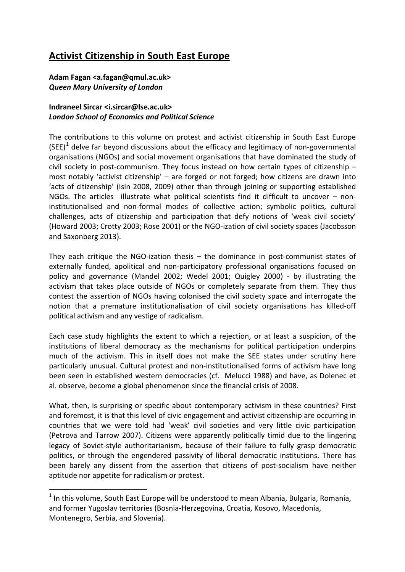## **Activist Citizenship in South East Europe**

#### **Adam Fagan <a.fagan@qmul.ac.uk>** *Queen Mary University of London*

### **Indraneel Sircar <i.sircar@lse.ac.uk>** *London School of Economics and Political Science*

The contributions to this volume on protest and activist citizenship in South East Europe  $(SEE)^1$  $(SEE)^1$  delve far beyond discussions about the efficacy and legitimacy of non-governmental organisations (NGOs) and social movement organisations that have dominated the study of civil society in post-communism. They focus instead on how certain types of citizenship – most notably 'activist citizenship' – are forged or not forged; how citizens are drawn into 'acts of citizenship' (Isin 2008, 2009) other than through joining or supporting established NGOs. The articles illustrate what political scientists find it difficult to uncover – noninstitutionalised and non-formal modes of collective action; symbolic politics, cultural challenges, acts of citizenship and participation that defy notions of 'weak civil society' (Howard 2003; Crotty 2003; Rose 2001) or the NGO-ization of civil society spaces (Jacobsson and Saxonberg 2013).

They each critique the NGO-ization thesis – the dominance in post-communist states of externally funded, apolitical and non-participatory professional organisations focused on policy and governance (Mandel 2002; Wedel 2001; Quigley 2000) - by illustrating the activism that takes place outside of NGOs or completely separate from them. They thus contest the assertion of NGOs having colonised the civil society space and interrogate the notion that a premature institutionalisation of civil society organisations has killed-off political activism and any vestige of radicalism.

Each case study highlights the extent to which a rejection, or at least a suspicion, of the institutions of liberal democracy as the mechanisms for political participation underpins much of the activism. This in itself does not make the SEE states under scrutiny here particularly unusual. Cultural protest and non-institutionalised forms of activism have long been seen in established western democracies (cf. Melucci 1988) and have, as Dolenec et al. observe, become a global phenomenon since the financial crisis of 2008.

What, then, is surprising or specific about contemporary activism in these countries? First and foremost, it is that this level of civic engagement and activist citizenship are occurring in countries that we were told had 'weak' civil societies and very little civic participation (Petrova and Tarrow 2007). Citizens were apparently politically timid due to the lingering legacy of Soviet-style authoritarianism, because of their failure to fully grasp democratic politics, or through the engendered passivity of liberal democratic institutions. There has been barely any dissent from the assertion that citizens of post-socialism have neither aptitude nor appetite for radicalism or protest.

<span id="page-1-0"></span> $1$  In this volume, South East Europe will be understood to mean Albania, Bulgaria, Romania, and former Yugoslav territories (Bosnia-Herzegovina, Croatia, Kosovo, Macedonia, Montenegro, Serbia, and Slovenia).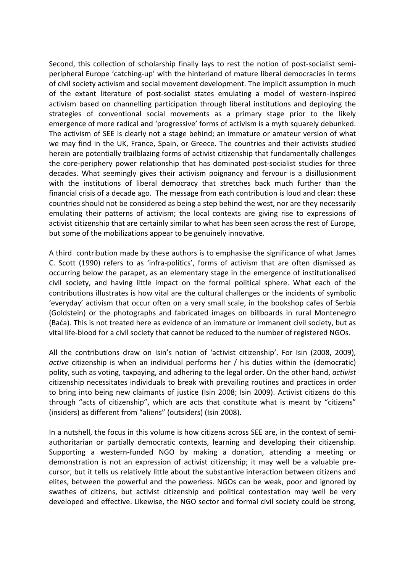Second, this collection of scholarship finally lays to rest the notion of post-socialist semiperipheral Europe 'catching-up' with the hinterland of mature liberal democracies in terms of civil society activism and social movement development. The implicit assumption in much of the extant literature of post-socialist states emulating a model of western-inspired activism based on channelling participation through liberal institutions and deploying the strategies of conventional social movements as a primary stage prior to the likely emergence of more radical and 'progressive' forms of activism is a myth squarely debunked. The activism of SEE is clearly not a stage behind; an immature or amateur version of what we may find in the UK, France, Spain, or Greece. The countries and their activists studied herein are potentially trailblazing forms of activist citizenship that fundamentally challenges the core-periphery power relationship that has dominated post-socialist studies for three decades. What seemingly gives their activism poignancy and fervour is a disillusionment with the institutions of liberal democracy that stretches back much further than the financial crisis of a decade ago. The message from each contribution is loud and clear: these countries should not be considered as being a step behind the west, nor are they necessarily emulating their patterns of activism; the local contexts are giving rise to expressions of activist citizenship that are certainly similar to what has been seen across the rest of Europe, but some of the mobilizations appear to be genuinely innovative.

A third contribution made by these authors is to emphasise the significance of what James C. Scott (1990) refers to as 'infra-politics', forms of activism that are often dismissed as occurring below the parapet, as an elementary stage in the emergence of institutionalised civil society, and having little impact on the formal political sphere. What each of the contributions illustrates is how vital are the cultural challenges or the incidents of symbolic 'everyday' activism that occur often on a very small scale, in the bookshop cafes of Serbia (Goldstein) or the photographs and fabricated images on billboards in rural Montenegro (Baća). This is not treated here as evidence of an immature or immanent civil society, but as vital life-blood for a civil society that cannot be reduced to the number of registered NGOs.

All the contributions draw on Isin's notion of 'activist citizenship'. For Isin (2008, 2009), *active* citizenship is when an individual performs her / his duties within the (democratic) polity, such as voting, taxpaying, and adhering to the legal order. On the other hand, *activist* citizenship necessitates individuals to break with prevailing routines and practices in order to bring into being new claimants of justice (Isin 2008; Isin 2009). Activist citizens do this through "acts of citizenship", which are acts that constitute what is meant by "citizens" (insiders) as different from "aliens" (outsiders) (Isin 2008).

In a nutshell, the focus in this volume is how citizens across SEE are, in the context of semiauthoritarian or partially democratic contexts, learning and developing their citizenship. Supporting a western-funded NGO by making a donation, attending a meeting or demonstration is not an expression of activist citizenship; it may well be a valuable precursor, but it tells us relatively little about the substantive interaction between citizens and elites, between the powerful and the powerless. NGOs can be weak, poor and ignored by swathes of citizens, but activist citizenship and political contestation may well be very developed and effective. Likewise, the NGO sector and formal civil society could be strong,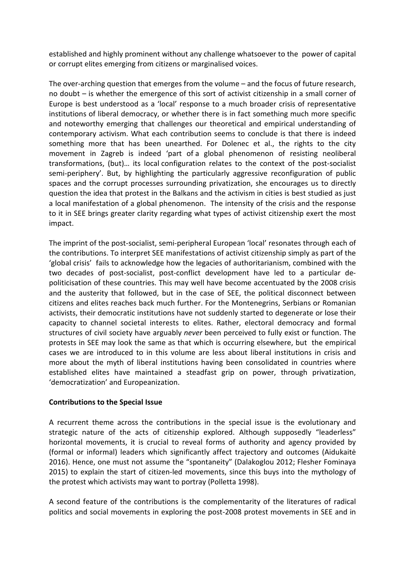established and highly prominent without any challenge whatsoever to the power of capital or corrupt elites emerging from citizens or marginalised voices.

The over-arching question that emerges from the volume – and the focus of future research, no doubt – is whether the emergence of this sort of activist citizenship in a small corner of Europe is best understood as a 'local' response to a much broader crisis of representative institutions of liberal democracy, or whether there is in fact something much more specific and noteworthy emerging that challenges our theoretical and empirical understanding of contemporary activism. What each contribution seems to conclude is that there is indeed something more that has been unearthed. For Dolenec et al., the rights to the city movement in Zagreb is indeed 'part of a global phenomenon of resisting neoliberal transformations, (but)… its local configuration relates to the context of the post-socialist semi-periphery'. But, by highlighting the particularly aggressive reconfiguration of public spaces and the corrupt processes surrounding privatization, she encourages us to directly question the idea that protest in the Balkans and the activism in cities is best studied as just a local manifestation of a global phenomenon. The intensity of the crisis and the response to it in SEE brings greater clarity regarding what types of activist citizenship exert the most impact.

The imprint of the post-socialist, semi-peripheral European 'local' resonates through each of the contributions. To interpret SEE manifestations of activist citizenship simply as part of the 'global crisis' fails to acknowledge how the legacies of authoritarianism, combined with the two decades of post-socialist, post-conflict development have led to a particular depoliticisation of these countries. This may well have become accentuated by the 2008 crisis and the austerity that followed, but in the case of SEE, the political disconnect between citizens and elites reaches back much further. For the Montenegrins, Serbians or Romanian activists, their democratic institutions have not suddenly started to degenerate or lose their capacity to channel societal interests to elites. Rather, electoral democracy and formal structures of civil society have arguably *never* been perceived to fully exist or function. The protests in SEE may look the same as that which is occurring elsewhere, but the empirical cases we are introduced to in this volume are less about liberal institutions in crisis and more about the myth of liberal institutions having been consolidated in countries where established elites have maintained a steadfast grip on power, through privatization, 'democratization' and Europeanization.

#### **Contributions to the Special Issue**

A recurrent theme across the contributions in the special issue is the evolutionary and strategic nature of the acts of citizenship explored. Although supposedly "leaderless" horizontal movements, it is crucial to reveal forms of authority and agency provided by (formal or informal) leaders which significantly affect trajectory and outcomes (Aidukaitė 2016). Hence, one must not assume the "spontaneity" (Dalakoglou 2012; Flesher Fominaya 2015) to explain the start of citizen-led movements, since this buys into the mythology of the protest which activists may want to portray (Polletta 1998).

A second feature of the contributions is the complementarity of the literatures of radical politics and social movements in exploring the post-2008 protest movements in SEE and in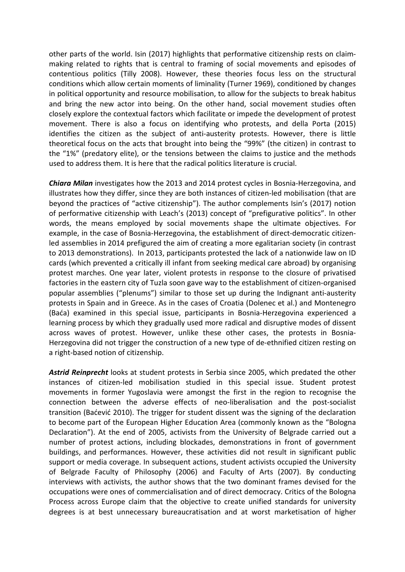other parts of the world. Isin (2017) highlights that performative citizenship rests on claimmaking related to rights that is central to framing of social movements and episodes of contentious politics (Tilly 2008). However, these theories focus less on the structural conditions which allow certain moments of liminality (Turner 1969), conditioned by changes in political opportunity and resource mobilisation, to allow for the subjects to break habitus and bring the new actor into being. On the other hand, social movement studies often closely explore the contextual factors which facilitate or impede the development of protest movement. There is also a focus on identifying who protests, and della Porta (2015) identifies the citizen as the subject of anti-austerity protests. However, there is little theoretical focus on the acts that brought into being the "99%" (the citizen) in contrast to the "1%" (predatory elite), or the tensions between the claims to justice and the methods used to address them. It is here that the radical politics literature is crucial.

*Chiara Milan* investigates how the 2013 and 2014 protest cycles in Bosnia-Herzegovina, and illustrates how they differ, since they are both instances of citizen-led mobilisation (that are beyond the practices of "active citizenship"). The author complements Isin's (2017) notion of performative citizenship with Leach's (2013) concept of "prefigurative politics". In other words, the means employed by social movements shape the ultimate objectives. For example, in the case of Bosnia-Herzegovina, the establishment of direct-democratic citizenled assemblies in 2014 prefigured the aim of creating a more egalitarian society (in contrast to 2013 demonstrations). In 2013, participants protested the lack of a nationwide law on ID cards (which prevented a critically ill infant from seeking medical care abroad) by organising protest marches. One year later, violent protests in response to the closure of privatised factories in the eastern city of Tuzla soon gave way to the establishment of citizen-organised popular assemblies ("plenums") similar to those set up during the Indignant anti-austerity protests in Spain and in Greece. As in the cases of Croatia (Dolenec et al.) and Montenegro (Baća) examined in this special issue, participants in Bosnia-Herzegovina experienced a learning process by which they gradually used more radical and disruptive modes of dissent across waves of protest. However, unlike these other cases, the protests in Bosnia-Herzegovina did not trigger the construction of a new type of de-ethnified citizen resting on a right-based notion of citizenship.

*Astrid Reinprecht* looks at student protests in Serbia since 2005, which predated the other instances of citizen-led mobilisation studied in this special issue. Student protest movements in former Yugoslavia were amongst the first in the region to recognise the connection between the adverse effects of neo-liberalisation and the post-socialist transition (Baćević 2010). The trigger for student dissent was the signing of the declaration to become part of the European Higher Education Area (commonly known as the "Bologna Declaration"). At the end of 2005, activists from the University of Belgrade carried out a number of protest actions, including blockades, demonstrations in front of government buildings, and performances. However, these activities did not result in significant public support or media coverage. In subsequent actions, student activists occupied the University of Belgrade Faculty of Philosophy (2006) and Faculty of Arts (2007). By conducting interviews with activists, the author shows that the two dominant frames devised for the occupations were ones of commercialisation and of direct democracy. Critics of the Bologna Process across Europe claim that the objective to create unified standards for university degrees is at best unnecessary bureaucratisation and at worst marketisation of higher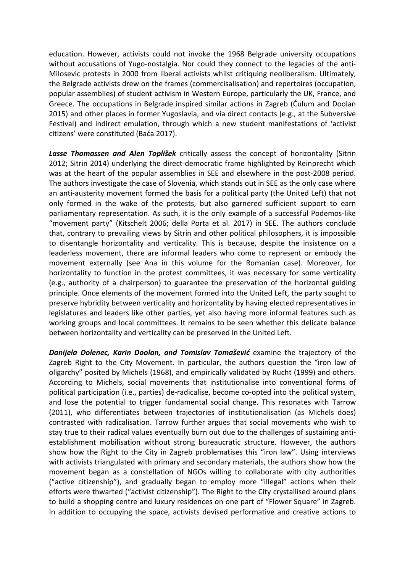education. However, activists could not invoke the 1968 Belgrade university occupations without accusations of Yugo-nostalgia. Nor could they connect to the legacies of the anti-Milosevic protests in 2000 from liberal activists whilst critiquing neoliberalism. Ultimately, the Belgrade activists drew on the frames (commercisalisation) and repertoires (occupation, popular assemblies) of student activism in Western Europe, particularly the UK, France, and Greece. The occupations in Belgrade inspired similar actions in Zagreb (Ćulum and Doolan 2015) and other places in former Yugoslavia, and via direct contacts (e.g., at the Subversive Festival) and indirect emulation, through which a new student manifestations of 'activist citizens' were constituted (Baća 2017).

*Lasse Thomassen and Alen Toplišek* critically assess the concept of horizontality (Sitrin 2012; Sitrin 2014) underlying the direct-democratic frame highlighted by Reinprecht which was at the heart of the popular assemblies in SEE and elsewhere in the post-2008 period. The authors investigate the case of Slovenia, which stands out in SEE as the only case where an anti-austerity movement formed the basis for a political party (the United Left) that not only formed in the wake of the protests, but also garnered sufficient support to earn parliamentary representation. As such, it is the only example of a successful Podemos-like "movement party" (Kitschelt 2006; della Porta et al. 2017) in SEE. The authors conclude that, contrary to prevailing views by Sitrin and other political philosophers, it is impossible to disentangle horizontality and verticality. This is because, despite the insistence on a leaderless movement, there are informal leaders who come to represent or embody the movement externally (see Ana in this volume for the Romanian case). Moreover, for horizontality to function in the protest committees, it was necessary for some verticality (e.g., authority of a chairperson) to guarantee the preservation of the horizontal guiding principle. Once elements of the movement formed into the United Left, the party sought to preserve hybridity between verticality and horizontality by having elected representatives in legislatures and leaders like other parties, yet also having more informal features such as working groups and local committees. It remains to be seen whether this delicate balance between horizontality and verticality can be preserved in the United Left.

**Danijela Dolenec, Karin Doolan, and Tomislav Tomašević** examine the trajectory of the Zagreb Right to the City Movement. In particular, the authors question the "iron law of oligarchy" posited by Michels (1968), and empirically validated by Rucht (1999) and others. According to Michels, social movements that institutionalise into conventional forms of political participation (i.e., parties) de-radicalise, become co-opted into the political system, and lose the potential to trigger fundamental social change. This resonates with Tarrow (2011), who differentiates between trajectories of institutionalisation (as Michels does) contrasted with radicalisation. Tarrow further argues that social movements who wish to stay true to their radical values eventually burn out due to the challenges of sustaining antiestablishment mobilisation without strong bureaucratic structure. However, the authors show how the Right to the City in Zagreb problematises this "iron law". Using interviews with activists triangulated with primary and secondary materials, the authors show how the movement began as a constellation of NGOs willing to collaborate with city authorities ("active citizenship"), and gradually began to employ more "illegal" actions when their efforts were thwarted ("activist citizenship"). The Right to the City crystallised around plans to build a shopping centre and luxury residences on one part of "Flower Square" in Zagreb. In addition to occupying the space, activists devised performative and creative actions to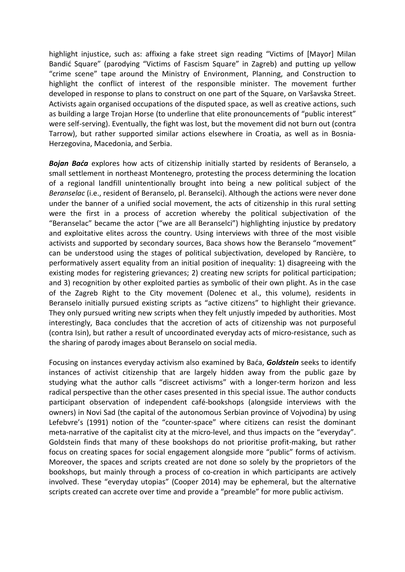highlight injustice, such as: affixing a fake street sign reading "Victims of [Mayor] Milan Bandić Square" (parodying "Victims of Fascism Square" in Zagreb) and putting up yellow "crime scene" tape around the Ministry of Environment, Planning, and Construction to highlight the conflict of interest of the responsible minister. The movement further developed in response to plans to construct on one part of the Square, on Varšavska Street. Activists again organised occupations of the disputed space, as well as creative actions, such as building a large Trojan Horse (to underline that elite pronouncements of "public interest" were self-serving). Eventually, the fight was lost, but the movement did not burn out (contra Tarrow), but rather supported similar actions elsewhere in Croatia, as well as in Bosnia-Herzegovina, Macedonia, and Serbia.

*Bojan Baća* explores how acts of citizenship initially started by residents of Beranselo, a small settlement in northeast Montenegro, protesting the process determining the location of a regional landfill unintentionally brought into being a new political subject of the *Beranselac* (i.e., resident of Beranselo, pl. Beranselci). Although the actions were never done under the banner of a unified social movement, the acts of citizenship in this rural setting were the first in a process of accretion whereby the political subjectivation of the "Beranselac" became the actor ("we are all Beranselci") highlighting injustice by predatory and exploitative elites across the country. Using interviews with three of the most visible activists and supported by secondary sources, Baca shows how the Beranselo "movement" can be understood using the stages of political subjectivation, developed by Rancière, to performatively assert equality from an initial position of inequality: 1) disagreeing with the existing modes for registering grievances; 2) creating new scripts for political participation; and 3) recognition by other exploited parties as symbolic of their own plight. As in the case of the Zagreb Right to the City movement (Dolenec et al., this volume), residents in Beranselo initially pursued existing scripts as "active citizens" to highlight their grievance. They only pursued writing new scripts when they felt unjustly impeded by authorities. Most interestingly, Baca concludes that the accretion of acts of citizenship was not purposeful (contra Isin), but rather a result of uncoordinated everyday acts of micro-resistance, such as the sharing of parody images about Beranselo on social media.

Focusing on instances everyday activism also examined by Baća, *Goldstein* seeks to identify instances of activist citizenship that are largely hidden away from the public gaze by studying what the author calls "discreet activisms" with a longer-term horizon and less radical perspective than the other cases presented in this special issue. The author conducts participant observation of independent café-bookshops (alongside interviews with the owners) in Novi Sad (the capital of the autonomous Serbian province of Vojvodina) by using Lefebvre's (1991) notion of the "counter-space" where citizens can resist the dominant meta-narrative of the capitalist city at the micro-level, and thus impacts on the "everyday". Goldstein finds that many of these bookshops do not prioritise profit-making, but rather focus on creating spaces for social engagement alongside more "public" forms of activism. Moreover, the spaces and scripts created are not done so solely by the proprietors of the bookshops, but mainly through a process of co-creation in which participants are actively involved. These "everyday utopias" (Cooper 2014) may be ephemeral, but the alternative scripts created can accrete over time and provide a "preamble" for more public activism.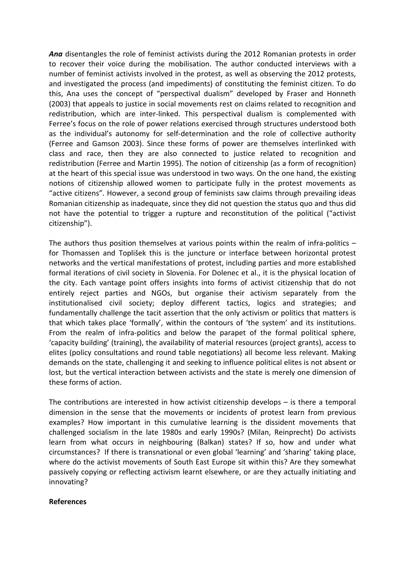*Ana* disentangles the role of feminist activists during the 2012 Romanian protests in order to recover their voice during the mobilisation. The author conducted interviews with a number of feminist activists involved in the protest, as well as observing the 2012 protests, and investigated the process (and impediments) of constituting the feminist citizen. To do this, Ana uses the concept of "perspectival dualism" developed by Fraser and Honneth (2003) that appeals to justice in social movements rest on claims related to recognition and redistribution, which are inter-linked. This perspectival dualism is complemented with Ferree's focus on the role of power relations exercised through structures understood both as the individual's autonomy for self-determination and the role of collective authority (Ferree and Gamson 2003). Since these forms of power are themselves interlinked with class and race, then they are also connected to justice related to recognition and redistribution (Ferree and Martin 1995). The notion of citizenship (as a form of recognition) at the heart of this special issue was understood in two ways. On the one hand, the existing notions of citizenship allowed women to participate fully in the protest movements as "active citizens". However, a second group of feminists saw claims through prevailing ideas Romanian citizenship as inadequate, since they did not question the status quo and thus did not have the potential to trigger a rupture and reconstitution of the political ("activist citizenship").

The authors thus position themselves at various points within the realm of infra-politics – for Thomassen and Toplišek this is the juncture or interface between horizontal protest networks and the vertical manifestations of protest, including parties and more established formal iterations of civil society in Slovenia. For Dolenec et al., it is the physical location of the city. Each vantage point offers insights into forms of activist citizenship that do not entirely reject parties and NGOs, but organise their activism separately from the institutionalised civil society; deploy different tactics, logics and strategies; and fundamentally challenge the tacit assertion that the only activism or politics that matters is that which takes place 'formally', within the contours of 'the system' and its institutions. From the realm of infra-politics and below the parapet of the formal political sphere, 'capacity building' (training), the availability of material resources (project grants), access to elites (policy consultations and round table negotiations) all become less relevant. Making demands on the state, challenging it and seeking to influence political elites is not absent or lost, but the vertical interaction between activists and the state is merely one dimension of these forms of action.

The contributions are interested in how activist citizenship develops – is there a temporal dimension in the sense that the movements or incidents of protest learn from previous examples? How important in this cumulative learning is the dissident movements that challenged socialism in the late 1980s and early 1990s? (Milan, Reinprecht) Do activists learn from what occurs in neighbouring (Balkan) states? If so, how and under what circumstances? If there is transnational or even global 'learning' and 'sharing' taking place, where do the activist movements of South East Europe sit within this? Are they somewhat passively copying or reflecting activism learnt elsewhere, or are they actually initiating and innovating?

#### **References**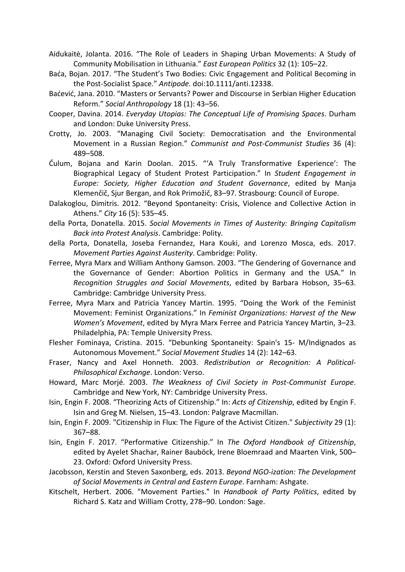Aidukaitė, Jolanta. 2016. "The Role of Leaders in Shaping Urban Movements: A Study of Community Mobilisation in Lithuania." *East European Politics* 32 (1): 105–22.

- Baća, Bojan. 2017. "The Student's Two Bodies: Civic Engagement and Political Becoming in the Post-Socialist Space." *Antipode*. doi:10.1111/anti.12338.
- Baćević, Jana. 2010. "Masters or Servants? Power and Discourse in Serbian Higher Education Reform." *Social Anthropology* 18 (1): 43–56.
- Cooper, Davina. 2014. *Everyday Utopias: The Conceptual Life of Promising Spaces*. Durham and London: Duke University Press.
- Crotty, Jo. 2003. "Managing Civil Society: Democratisation and the Environmental Movement in a Russian Region." *Communist and Post-Communist Studies* 36 (4): 489–508.
- Ćulum, Bojana and Karin Doolan. 2015. "'A Truly Transformative Experience': The Biographical Legacy of Student Protest Participation." In *Student Engagement in Europe: Society, Higher Education and Student Governance*, edited by Manja Klemenčič, Sjur Bergan, and Rok Primožič, 83–97. Strasbourg: Council of Europe.
- Dalakoglou, Dimitris. 2012. "Beyond Spontaneity: Crisis, Violence and Collective Action in Athens." *City* 16 (5): 535–45.
- della Porta, Donatella. 2015. *Social Movements in Times of Austerity: Bringing Capitalism Back into Protest Analysis*. Cambridge: Polity.
- della Porta, Donatella, Joseba Fernandez, Hara Kouki, and Lorenzo Mosca, eds. 2017. *Movement Parties Against Austerity*. Cambridge: Polity.
- Ferree, Myra Marx and William Anthony Gamson. 2003. "The Gendering of Governance and the Governance of Gender: Abortion Politics in Germany and the USA." In *Recognition Struggles and Social Movements*, edited by Barbara Hobson, 35–63. Cambridge: Cambridge University Press.
- Ferree, Myra Marx and Patricia Yancey Martin. 1995. "Doing the Work of the Feminist Movement: Feminist Organizations." In *Feminist Organizations: Harvest of the New Women's Movement*, edited by Myra Marx Ferree and Patricia Yancey Martin, 3–23. Philadelphia, PA: Temple University Press.
- Flesher Fominaya, Cristina. 2015. "Debunking Spontaneity: Spain's 15- M/Indignados as Autonomous Movement." *Social Movement Studies* 14 (2): 142–63.
- Fraser, Nancy and Axel Honneth. 2003. *Redistribution or Recognition: A Political-Philosophical Exchange*. London: Verso.
- Howard, Marc Morjé. 2003. *The Weakness of Civil Society in Post-Communist Europe*. Cambridge and New York, NY: Cambridge University Press.
- Isin, Engin F. 2008. "Theorizing Acts of Citizenship." In: *Acts of Citizenship*, edited by Engin F. Isin and Greg M. Nielsen, 15–43. London: Palgrave Macmillan.
- Isin, Engin F. 2009. "Citizenship in Flux: The Figure of the Activist Citizen." *Subjectivity* 29 (1): 367–88.
- Isin, Engin F. 2017. "Performative Citizenship." In *The Oxford Handbook of Citizenship*, edited by Ayelet Shachar, Rainer Bauböck, Irene Bloemraad and Maarten Vink, 500– 23. Oxford: Oxford University Press.
- Jacobsson, Kerstin and Steven Saxonberg, eds. 2013. *Beyond NGO-ization: The Development of Social Movements in Central and Eastern Europe*. Farnham: Ashgate.
- Kitschelt, Herbert. 2006. "Movement Parties." In *Handbook of Party Politics*, edited by Richard S. Katz and William Crotty, 278–90. London: Sage.